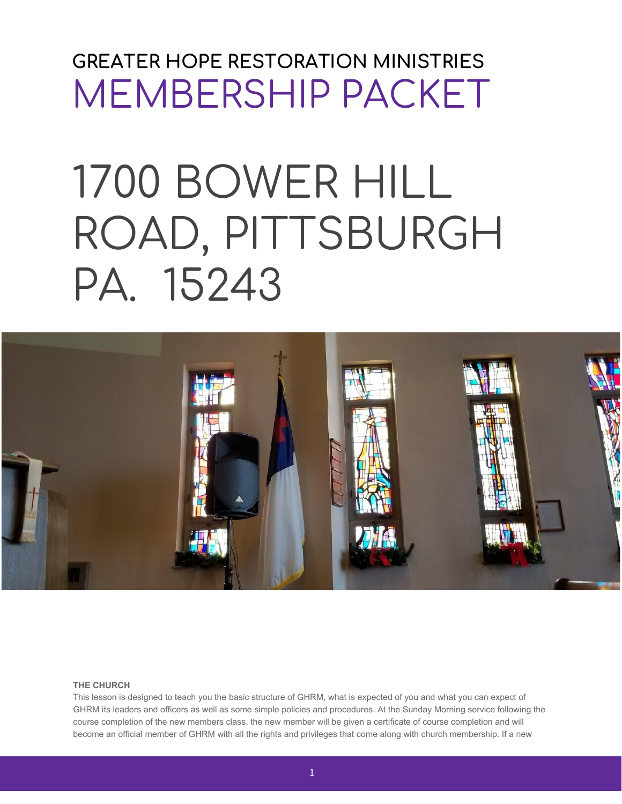# **GREATER HOPE RESTORATION MINISTRIES** MEMBERSHIP PACKET

# 1700 BOWER HILL ROAD, PITTSBURGH PA. 15243



# **THE CHURCH**

This lesson is designed to teach you the basic structure of GHRM, what is expected of you and what you can expect of GHRM its leaders and officers as well as some simple policies and procedures. At the Sunday Morning service following the course completion of the new members class, the new member will be given a certificate of course completion and will become an official member of GHRM with all the rights and privileges that come along with church membership. If a new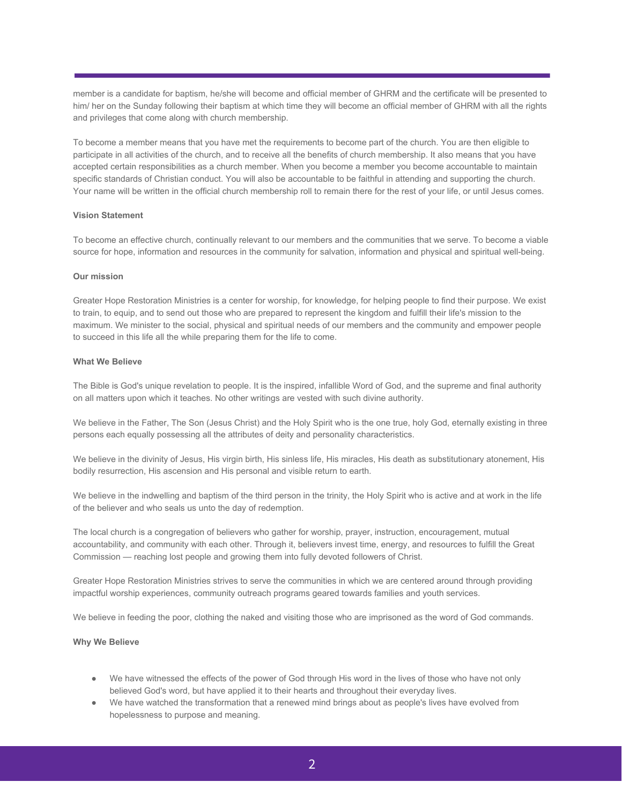member is a candidate for baptism, he/she will become and official member of GHRM and the certificate will be presented to him/ her on the Sunday following their baptism at which time they will become an official member of GHRM with all the rights and privileges that come along with church membership.

To become a member means that you have met the requirements to become part of the church. You are then eligible to participate in all activities of the church, and to receive all the benefits of church membership. It also means that you have accepted certain responsibilities as a church member. When you become a member you become accountable to maintain specific standards of Christian conduct. You will also be accountable to be faithful in attending and supporting the church. Your name will be written in the official church membership roll to remain there for the rest of your life, or until Jesus comes.

#### **Vision Statement**

To become an effective church, continually relevant to our members and the communities that we serve. To become a viable source for hope, information and resources in the community for salvation, information and physical and spiritual well-being.

#### **Our mission**

Greater Hope Restoration Ministries is a center for worship, for knowledge, for helping people to find their purpose. We exist to train, to equip, and to send out those who are prepared to represent the kingdom and fulfill their life's mission to the maximum. We minister to the social, physical and spiritual needs of our members and the community and empower people to succeed in this life all the while preparing them for the life to come.

#### **What We Believe**

The Bible is God's unique revelation to people. It is the inspired, infallible Word of God, and the supreme and final authority on all matters upon which it teaches. No other writings are vested with such divine authority.

We believe in the Father, The Son (Jesus Christ) and the Holy Spirit who is the one true, holy God, eternally existing in three persons each equally possessing all the attributes of deity and personality characteristics.

We believe in the divinity of Jesus, His virgin birth, His sinless life, His miracles, His death as substitutionary atonement, His bodily resurrection, His ascension and His personal and visible return to earth.

We believe in the indwelling and baptism of the third person in the trinity, the Holy Spirit who is active and at work in the life of the believer and who seals us unto the day of redemption.

The local church is a congregation of believers who gather for worship, prayer, instruction, encouragement, mutual accountability, and community with each other. Through it, believers invest time, energy, and resources to fulfill the Great Commission — reaching lost people and growing them into fully devoted followers of Christ.

Greater Hope Restoration Ministries strives to serve the communities in which we are centered around through providing impactful worship experiences, community outreach programs geared towards families and youth services.

We believe in feeding the poor, clothing the naked and visiting those who are imprisoned as the word of God commands.

# **Why We Believe**

- We have witnessed the effects of the power of God through His word in the lives of those who have not only believed God's word, but have applied it to their hearts and throughout their everyday lives.
- We have watched the transformation that a renewed mind brings about as people's lives have evolved from hopelessness to purpose and meaning.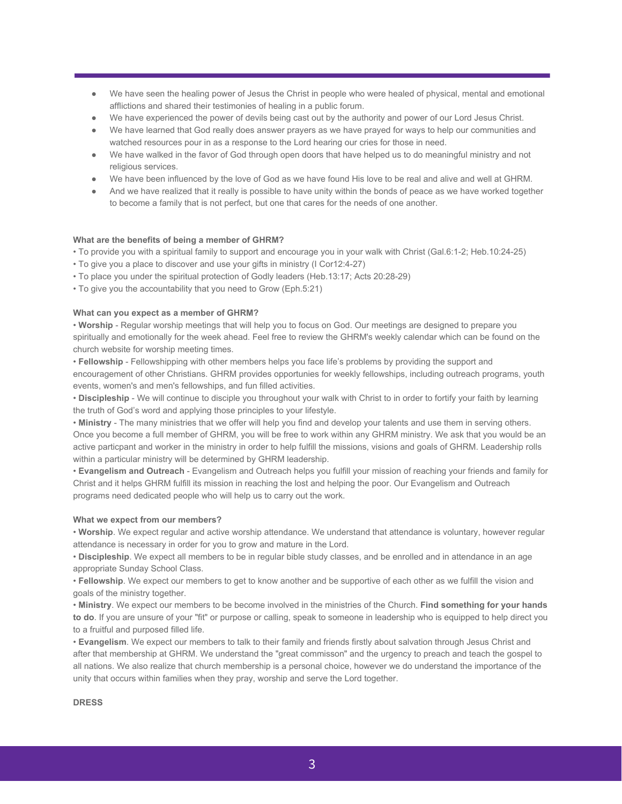- We have seen the healing power of Jesus the Christ in people who were healed of physical, mental and emotional afflictions and shared their testimonies of healing in a public forum.
- We have experienced the power of devils being cast out by the authority and power of our Lord Jesus Christ.
- We have learned that God really does answer prayers as we have prayed for ways to help our communities and watched resources pour in as a response to the Lord hearing our cries for those in need.
- We have walked in the favor of God through open doors that have helped us to do meaningful ministry and not religious services.
- We have been influenced by the love of God as we have found His love to be real and alive and well at GHRM.
- And we have realized that it really is possible to have unity within the bonds of peace as we have worked together to become a family that is not perfect, but one that cares for the needs of one another.

# **What are the benefits of being a member of GHRM?**

• To provide you with a spiritual family to support and encourage you in your walk with Christ (Gal.6:1-2; Heb.10:24-25)

- To give you a place to discover and use your gifts in ministry (I Cor12:4-27)
- To place you under the spiritual protection of Godly leaders (Heb.13:17; Acts 20:28-29)
- To give you the accountability that you need to Grow (Eph.5:21)

# **What can you expect as a member of GHRM?**

• **Worship** - Regular worship meetings that will help you to focus on God. Our meetings are designed to prepare you spiritually and emotionally for the week ahead. Feel free to review the GHRM's weekly calendar which can be found on the church website for worship meeting times.

• **Fellowship** - Fellowshipping with other members helps you face life's problems by providing the support and encouragement of other Christians. GHRM provides opportunies for weekly fellowships, including outreach programs, youth events, women's and men's fellowships, and fun filled activities.

• **Discipleship** - We will continue to disciple you throughout your walk with Christ to in order to fortify your faith by learning the truth of God's word and applying those principles to your lifestyle.

• **Ministry** - The many ministries that we offer will help you find and develop your talents and use them in serving others. Once you become a full member of GHRM, you will be free to work within any GHRM ministry. We ask that you would be an active particpant and worker in the ministry in order to help fulfill the missions, visions and goals of GHRM. Leadership rolls within a particular ministry will be determined by GHRM leadership.

• **Evangelism and Outreach** - Evangelism and Outreach helps you fulfill your mission of reaching your friends and family for Christ and it helps GHRM fulfill its mission in reaching the lost and helping the poor. Our Evangelism and Outreach programs need dedicated people who will help us to carry out the work.

#### **What we expect from our members?**

• **Worship**. We expect regular and active worship attendance. We understand that attendance is voluntary, however regular attendance is necessary in order for you to grow and mature in the Lord.

• **Discipleship**. We expect all members to be in regular bible study classes, and be enrolled and in attendance in an age appropriate Sunday School Class.

• **Fellowship**. We expect our members to get to know another and be supportive of each other as we fulfill the vision and goals of the ministry together.

• **Ministry**. We expect our members to be become involved in the ministries of the Church. **Find something for your hands to do**. If you are unsure of your "fit" or purpose or calling, speak to someone in leadership who is equipped to help direct you to a fruitful and purposed filled life.

• **Evangelism**. We expect our members to talk to their family and friends firstly about salvation through Jesus Christ and after that membership at GHRM. We understand the "great commisson" and the urgency to preach and teach the gospel to all nations. We also realize that church membership is a personal choice, however we do understand the importance of the unity that occurs within families when they pray, worship and serve the Lord together.

# **DRESS**